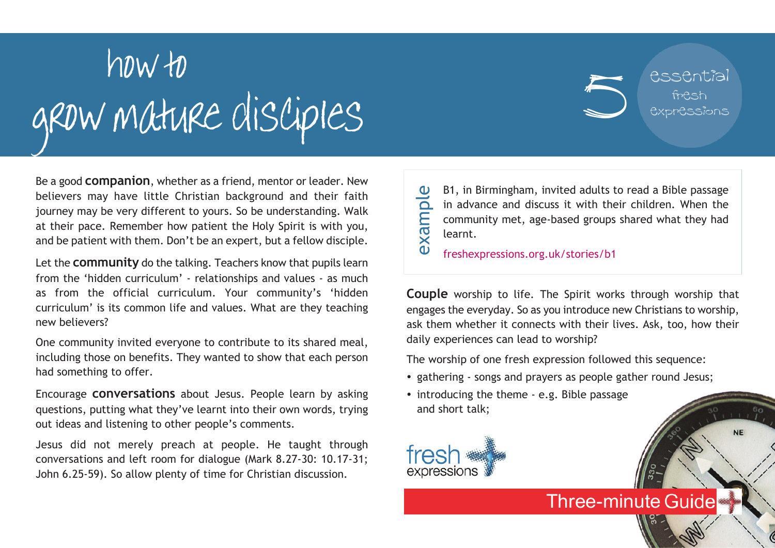## grow mature disciples how to

Be a good **companion**, whether as a friend, mentor or leader. New believers may have little Christian background and their faith journey may be very different to yours. So be understanding. Walk at their pace. Remember how patient the Holy Spirit is with you, and be patient with them. Don't be an expert, but a fellow disciple.

Let the **community** do the talking. Teachers know that pupils learn from the 'hidden curriculum' - relationships and values - as much as from the official curriculum. Your community's 'hidden curriculum' is its common life and values. What are they teaching new believers?

One community invited everyone to contribute to its shared meal, including those on benefits. They wanted to show that each person had something to offer.

Encourage **conversations** about Jesus. People learn by asking questions, putting what they've learnt into their own words, trying out ideas and listening to other people's comments.

Jesus did not merely preach at people. He taught through conversations and left room for dialogue (Mark 8.27-30: 10.17-31; John 6.25-59). So allow plenty of time for Christian discussion.

B1, in Birmingham, invited adults to read a Bible passage in advance and discuss it with their children. When the community met, age-based groups shared what they had learnt. example

5

essential

fresh expressions

**NE** 

freshexpressions.org.uk/stories/b1

**Couple** worship to life. The Spirit works through worship that engages the everyday. So as you introduce new Christians to worship, ask them whether it connects with their lives. Ask, too, how their daily experiences can lead to worship?

**Three-minute Guide** 

The worship of one fresh expression followed this sequence:

- gathering songs and prayers as people gather round Jesus;
- introducing the theme e.g. Bible passage and short talk;